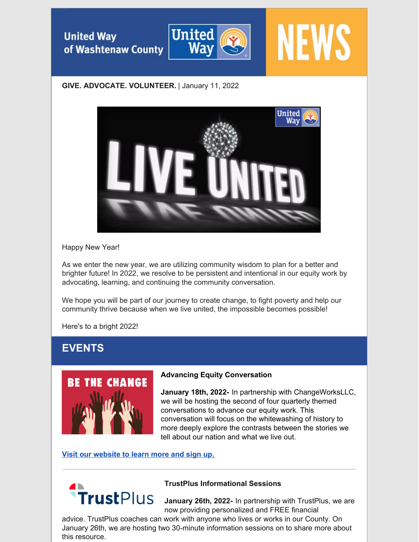**United Way** of Washtenaw County



# **NEWS**

## **GIVE. ADVOCATE. VOLUNTEER.** | January 11, 2022



## Happy New Year!

As we enter the new year, we are utilizing community wisdom to plan for a better and brighter future! In 2022, we resolve to be persistent and intentional in our equity work by advocating, learning, and continuing the community conversation.

We hope you will be part of our journey to create change, to fight poverty and help our community thrive because when we live united, the impossible becomes possible!

Here's to a bright 2022!

# **EVENTS**



## **Advancing Equity Conversation**

**January 18th, 2022-** In partnership with ChangeWorksLLC, we will be hosting the second of four quarterly themed conversations to advance our equity work. This conversation will focus on the whitewashing of history to more deeply explore the contrasts between the stories we tell about our nation and what we live out.

## **Visit our [website](https://www.uwwashtenaw.org/civicrm/event/info?id=211) to learn more and sign up.**

![](_page_0_Picture_14.jpeg)

## **TrustPlus Informational Sessions**

**January 26th, 2022-** In partnership with TrustPlus, we are now providing personalized and FREE financial

advice. TrustPlus coaches can work with anyone who lives or works in our County. On January 26th, we are hosting two 30-minute information sessions on to share more about this resource.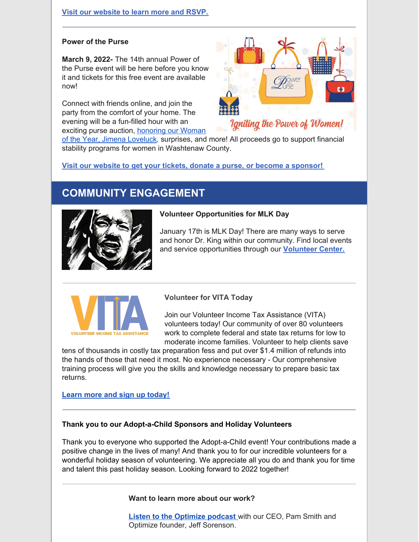#### **Visit our [website](https://www.uwwashtenaw.org/trustplus-informational-sessions) to learn more and RSVP.**

#### **Power of the Purse**

**March 9, 2022-** The 14th annual Power of the Purse event will be here before you know it and tickets for this free event are available now!

Connect with friends online, and join the party from the comfort of your home. The evening will be a fun-filled hour with an exciting purse auction, honoring our Woman

![](_page_1_Picture_4.jpeg)

of the Year, Jimena Loveluck, [surprises,](https://www.uwwashtenaw.org/news/united-way-washtenaw-county-announces-jimena-loveluck-woman-year) and more! All proceeds go to support financial stability programs for women in Washtenaw County.

**Visit our website to get your tickets, donate a purse, or become a [sponsor!](https://www.uwwashtenaw.org/power-purse-0)**

# **COMMUNITY ENGAGEMENT**

![](_page_1_Picture_8.jpeg)

#### **Volunteer Opportunities for MLK Day**

January 17th is MLK Day! There are many ways to serve and honor Dr. King within our community. Find local events and service opportunities through our **[Volunteer](http://www.volunteerwashtenaw.org/need/index?tag=MLK+Day+of+Service) Center.**

![](_page_1_Picture_11.jpeg)

#### **Volunteer for VITA Today**

Join our Volunteer Income Tax Assistance (VITA) volunteers today! Our community of over 80 volunteers work to complete federal and state tax returns for low to moderate income families. Volunteer to help clients save

tens of thousands in costly tax preparation fess and put over \$1.4 million of refunds into the hands of those that need it most. No experience necessary - Our comprehensive training process will give you the skills and knowledge necessary to prepare basic tax returns.

#### **Learn more and sign up [today!](https://www.uwwashtenaw.org/vita)**

#### **Thank you to our Adopt-a-Child Sponsors and Holiday Volunteers**

Thank you to everyone who supported the Adopt-a-Child event! Your contributions made a positive change in the lives of many! And thank you to for our incredible volunteers for a wonderful holiday season of volunteering. We appreciate all you do and thank you for time and talent this past holiday season. Looking forward to 2022 together!

#### **Want to learn more about our work?**

**Listen to the [Optimize](https://open.spotify.com/episode/2mZ4O23F9tYvMwcujIh6YN?si=IKFUai1BQjC9Cg6AA6ZPIw&nd=1) podcast** with our CEO, Pam Smith and Optimize founder, Jeff Sorenson.